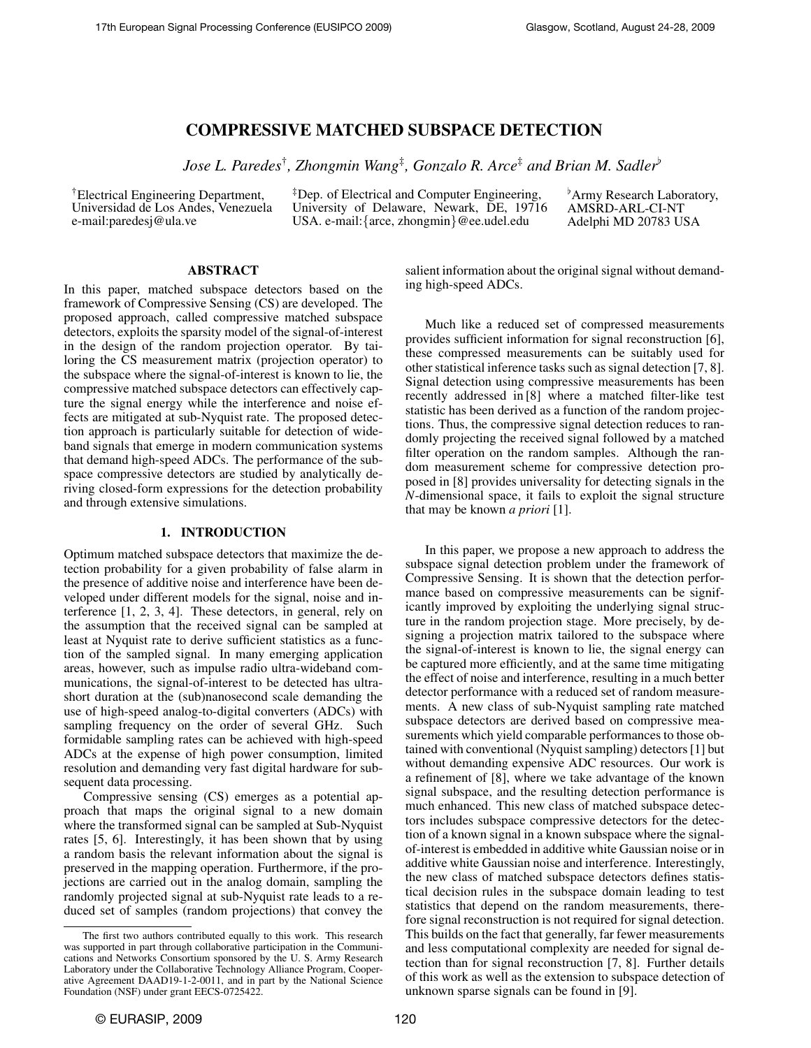# COMPRESSIVE MATCHED SUBSPACE DETECTION

*Jose L. Paredes*† *, Zhongmin Wang*‡ *, Gonzalo R. Arce*‡ *and Brian M. Sadler*[

†Electrical Engineering Department, Universidad de Los Andes, Venezuela e-mail:paredesj@ula.ve

‡Dep. of Electrical and Computer Engineering, University of Delaware, Newark, DE, 19716 USA. e-mail:{arce, zhongmin}@ee.udel.edu

<sup>b</sup>Army Research Laboratory, AMSRD-ARL-CI-NT Adelphi MD 20783 USA

# ABSTRACT

In this paper, matched subspace detectors based on the framework of Compressive Sensing (CS) are developed. The proposed approach, called compressive matched subspace detectors, exploits the sparsity model of the signal-of-interest in the design of the random projection operator. By tailoring the CS measurement matrix (projection operator) to the subspace where the signal-of-interest is known to lie, the compressive matched subspace detectors can effectively capture the signal energy while the interference and noise effects are mitigated at sub-Nyquist rate. The proposed detection approach is particularly suitable for detection of wideband signals that emerge in modern communication systems that demand high-speed ADCs. The performance of the subspace compressive detectors are studied by analytically deriving closed-form expressions for the detection probability and through extensive simulations.

#### 1. INTRODUCTION

Optimum matched subspace detectors that maximize the detection probability for a given probability of false alarm in the presence of additive noise and interference have been developed under different models for the signal, noise and interference [1, 2, 3, 4]. These detectors, in general, rely on the assumption that the received signal can be sampled at least at Nyquist rate to derive sufficient statistics as a function of the sampled signal. In many emerging application areas, however, such as impulse radio ultra-wideband communications, the signal-of-interest to be detected has ultrashort duration at the (sub)nanosecond scale demanding the use of high-speed analog-to-digital converters (ADCs) with sampling frequency on the order of several GHz. Such formidable sampling rates can be achieved with high-speed ADCs at the expense of high power consumption, limited resolution and demanding very fast digital hardware for subsequent data processing.

Compressive sensing (CS) emerges as a potential approach that maps the original signal to a new domain where the transformed signal can be sampled at Sub-Nyquist rates [5, 6]. Interestingly, it has been shown that by using a random basis the relevant information about the signal is preserved in the mapping operation. Furthermore, if the projections are carried out in the analog domain, sampling the randomly projected signal at sub-Nyquist rate leads to a reduced set of samples (random projections) that convey the

salient information about the original signal without demanding high-speed ADCs.

Much like a reduced set of compressed measurements provides sufficient information for signal reconstruction [6], these compressed measurements can be suitably used for other statistical inference tasks such as signal detection [7, 8]. Signal detection using compressive measurements has been recently addressed in [8] where a matched filter-like test statistic has been derived as a function of the random projections. Thus, the compressive signal detection reduces to randomly projecting the received signal followed by a matched filter operation on the random samples. Although the random measurement scheme for compressive detection proposed in [8] provides universality for detecting signals in the *N*-dimensional space, it fails to exploit the signal structure that may be known *a priori* [1].

In this paper, we propose a new approach to address the subspace signal detection problem under the framework of Compressive Sensing. It is shown that the detection performance based on compressive measurements can be significantly improved by exploiting the underlying signal structure in the random projection stage. More precisely, by designing a projection matrix tailored to the subspace where the signal-of-interest is known to lie, the signal energy can be captured more efficiently, and at the same time mitigating the effect of noise and interference, resulting in a much better detector performance with a reduced set of random measurements. A new class of sub-Nyquist sampling rate matched subspace detectors are derived based on compressive measurements which yield comparable performances to those obtained with conventional (Nyquist sampling) detectors [1] but without demanding expensive ADC resources. Our work is a refinement of [8], where we take advantage of the known signal subspace, and the resulting detection performance is much enhanced. This new class of matched subspace detectors includes subspace compressive detectors for the detection of a known signal in a known subspace where the signalof-interest is embedded in additive white Gaussian noise or in additive white Gaussian noise and interference. Interestingly, the new class of matched subspace detectors defines statistical decision rules in the subspace domain leading to test statistics that depend on the random measurements, therefore signal reconstruction is not required for signal detection. This builds on the fact that generally, far fewer measurements and less computational complexity are needed for signal detection than for signal reconstruction [7, 8]. Further details of this work as well as the extension to subspace detection of unknown sparse signals can be found in [9].

The first two authors contributed equally to this work. This research was supported in part through collaborative participation in the Communications and Networks Consortium sponsored by the U. S. Army Research Laboratory under the Collaborative Technology Alliance Program, Cooperative Agreement DAAD19-1-2-0011, and in part by the National Science Foundation (NSF) under grant EECS-0725422.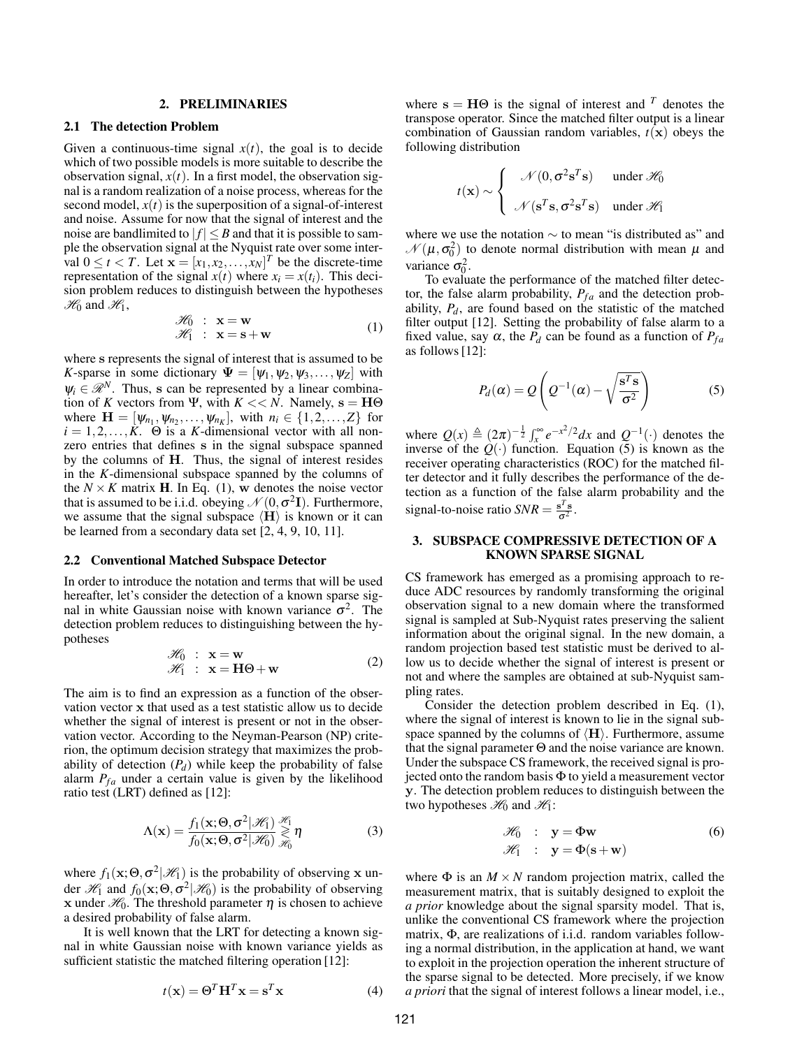### 2. PRELIMINARIES

# 2.1 The detection Problem

Given a continuous-time signal  $x(t)$ , the goal is to decide which of two possible models is more suitable to describe the observation signal,  $x(t)$ . In a first model, the observation signal is a random realization of a noise process, whereas for the second model,  $x(t)$  is the superposition of a signal-of-interest and noise. Assume for now that the signal of interest and the noise are bandlimited to  $|f| \leq B$  and that it is possible to sample the observation signal at the Nyquist rate over some interval  $0 \le t < T$ . Let  $\mathbf{x} = [x_1, x_2, \dots, x_N]^T$  be the discrete-time representation of the signal  $x(t)$  where  $x_i = x(t_i)$ . This decision problem reduces to distinguish between the hypotheses  $\mathcal{H}_0$  and  $\mathcal{H}_1$ ,

$$
\mathcal{H}_0 : \mathbf{x} = \mathbf{w}
$$
  
\n
$$
\mathcal{H}_1 : \mathbf{x} = \mathbf{s} + \mathbf{w}
$$
 (1)

where s represents the signal of interest that is assumed to be *K*-sparse in some dictionary  $\Psi = [\psi_1, \psi_2, \psi_3, \dots, \psi_Z]$  with  $\psi_i \in \mathcal{R}^N$ . Thus, s can be represented by a linear combination of *K* vectors from Ψ, with  $K \ll N$ . Namely,  $s = H\Theta$  $\text{where } \mathbf{H} = [\psi_{n_1}, \psi_{n_2}, \dots, \psi_{n_K}], \text{ with } n_i \in \{1, 2, \dots, Z\} \text{ for }$  $i = 1, 2, \ldots, K$ .  $\Theta$  is a *K*-dimensional vector with all nonzero entries that defines s in the signal subspace spanned by the columns of H. Thus, the signal of interest resides in the *K*-dimensional subspace spanned by the columns of the  $N \times K$  matrix **H**. In Eq. (1), w denotes the noise vector that is assumed to be i.i.d. obeying  $\mathcal{N}(0, \sigma^2 I)$ . Furthermore, we assume that the signal subspace  $\langle H \rangle$  is known or it can be learned from a secondary data set [2, 4, 9, 10, 11].

#### 2.2 Conventional Matched Subspace Detector

In order to introduce the notation and terms that will be used hereafter, let's consider the detection of a known sparse signal in white Gaussian noise with known variance  $\sigma^2$ . The detection problem reduces to distinguishing between the hypotheses

$$
\mathcal{H}_0 : \mathbf{x} = \mathbf{w} \n\mathcal{H}_1 : \mathbf{x} = \mathbf{H}\Theta + \mathbf{w}
$$
\n(2)

The aim is to find an expression as a function of the observation vector x that used as a test statistic allow us to decide whether the signal of interest is present or not in the observation vector. According to the Neyman-Pearson (NP) criterion, the optimum decision strategy that maximizes the probability of detection  $(P_d)$  while keep the probability of false alarm  $P_{fa}$  under a certain value is given by the likelihood ratio test (LRT) defined as [12]:

$$
\Lambda(\mathbf{x}) = \frac{f_1(\mathbf{x}; \Theta, \sigma^2 | \mathcal{H}_1)}{f_0(\mathbf{x}; \Theta, \sigma^2 | \mathcal{H}_0)} \underset{\mathcal{H}_0}{\geq} \eta \tag{3}
$$

where  $f_1(\mathbf{x}; \Theta, \sigma^2 | \mathcal{H}_1)$  is the probability of observing x under  $\mathcal{H}_1$  and  $f_0(\mathbf{x}; \Theta, \sigma^2 | \mathcal{H}_0)$  is the probability of observing x under  $\mathcal{H}_0$ . The threshold parameter  $\eta$  is chosen to achieve a desired probability of false alarm.

It is well known that the LRT for detecting a known signal in white Gaussian noise with known variance yields as sufficient statistic the matched filtering operation [12]:

$$
t(\mathbf{x}) = \Theta^T \mathbf{H}^T \mathbf{x} = \mathbf{s}^T \mathbf{x}
$$
 (4)

where  $s = H\Theta$  is the signal of interest and <sup>T</sup> denotes the transpose operator. Since the matched filter output is a linear combination of Gaussian random variables,  $t(x)$  obeys the following distribution

$$
t(\mathbf{x}) \sim \begin{cases} \mathcal{N}(0, \sigma^2 \mathbf{s}^T \mathbf{s}) & \text{under } \mathcal{H}_0 \\ \mathcal{N}(\mathbf{s}^T \mathbf{s}, \sigma^2 \mathbf{s}^T \mathbf{s}) & \text{under } \mathcal{H}_1 \end{cases}
$$

where we use the notation  $\sim$  to mean "is distributed as" and  $\mathcal{N}(\mu, \sigma_0^2)$  to denote normal distribution with mean  $\mu$  and variance  $\sigma_0^2$ .

To evaluate the performance of the matched filter detector, the false alarm probability,  $P_{fa}$  and the detection probability, *Pd*, are found based on the statistic of the matched filter output [12]. Setting the probability of false alarm to a fixed value, say  $\alpha$ , the  $P_d$  can be found as a function of  $P_{fa}$ as follows [12]:

$$
P_d(\alpha) = Q\left(Q^{-1}(\alpha) - \sqrt{\frac{\mathbf{s}^T \mathbf{s}}{\sigma^2}}\right)
$$
 (5)

where  $Q(x) \triangleq (2\pi)^{-\frac{1}{2}} \int_{x}^{\infty} e^{-x^2/2} dx$  and  $Q^{-1}(\cdot)$  denotes the inverse of the  $Q(\cdot)$  function. Equation (5) is known as the receiver operating characteristics (ROC) for the matched filter detector and it fully describes the performance of the detection as a function of the false alarm probability and the signal-to-noise ratio  $SNR = \frac{s^T s}{\sigma^2}$ .

# 3. SUBSPACE COMPRESSIVE DETECTION OF A KNOWN SPARSE SIGNAL

CS framework has emerged as a promising approach to reduce ADC resources by randomly transforming the original observation signal to a new domain where the transformed signal is sampled at Sub-Nyquist rates preserving the salient information about the original signal. In the new domain, a random projection based test statistic must be derived to allow us to decide whether the signal of interest is present or not and where the samples are obtained at sub-Nyquist sampling rates.

Consider the detection problem described in Eq. (1), where the signal of interest is known to lie in the signal subspace spanned by the columns of  $\langle H \rangle$ . Furthermore, assume that the signal parameter Θ and the noise variance are known. Under the subspace CS framework, the received signal is projected onto the random basis  $\Phi$  to yield a measurement vector y. The detection problem reduces to distinguish between the two hypotheses  $\mathcal{H}_0$  and  $\mathcal{H}_1$ :

$$
\mathcal{H}_0 : \mathbf{y} = \Phi \mathbf{w} \tag{6}
$$
  

$$
\mathcal{H}_1 : \mathbf{y} = \Phi(\mathbf{s} + \mathbf{w})
$$

where  $\Phi$  is an  $M \times N$  random projection matrix, called the measurement matrix, that is suitably designed to exploit the *a prior* knowledge about the signal sparsity model. That is, unlike the conventional CS framework where the projection matrix, Φ, are realizations of i.i.d. random variables following a normal distribution, in the application at hand, we want to exploit in the projection operation the inherent structure of the sparse signal to be detected. More precisely, if we know *a priori* that the signal of interest follows a linear model, i.e.,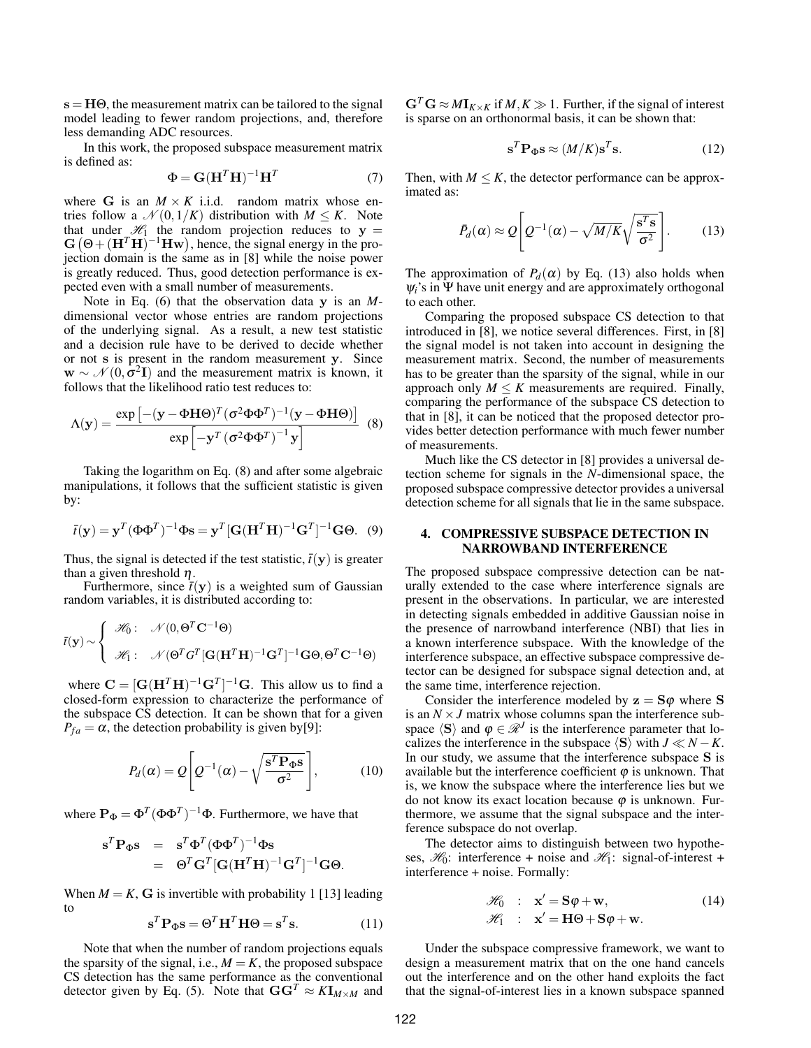$s = H\Theta$ , the measurement matrix can be tailored to the signal model leading to fewer random projections, and, therefore less demanding ADC resources.

In this work, the proposed subspace measurement matrix is defined as:

$$
\Phi = \mathbf{G}(\mathbf{H}^T \mathbf{H})^{-1} \mathbf{H}^T
$$
 (7)

where G is an  $M \times K$  i.i.d. random matrix whose entries follow a  $\mathcal{N}(0,1/K)$  distribution with  $M \leq K$ . Note that under  $\mathcal{H}_1$  the random projection reduces to  $y =$ G it under  $\mathcal{H}_1$  the random projection reduces to  $y = (\Theta + (H^T H)^{-1} H w)$ , hence, the signal energy in the projection domain is the same as in [8] while the noise power is greatly reduced. Thus, good detection performance is expected even with a small number of measurements.

Note in Eq. (6) that the observation data y is an *M*dimensional vector whose entries are random projections of the underlying signal. As a result, a new test statistic and a decision rule have to be derived to decide whether or not s is present in the random measurement y. Since  $\mathbf{w} \sim \mathcal{N}(0, \sigma^2 \mathbf{I})$  and the measurement matrix is known, it follows that the likelihood ratio test reduces to:

$$
\Lambda(\mathbf{y}) = \frac{\exp\left[-(\mathbf{y} - \Phi \mathbf{H} \Theta)^{T} (\sigma^{2} \Phi \Phi^{T})^{-1} (\mathbf{y} - \Phi \mathbf{H} \Theta)\right]}{\exp\left[-\mathbf{y}^{T} (\sigma^{2} \Phi \Phi^{T})^{-1} \mathbf{y}\right]}
$$
(8)

Taking the logarithm on Eq. (8) and after some algebraic manipulations, it follows that the sufficient statistic is given by:

$$
\bar{t}(\mathbf{y}) = \mathbf{y}^T (\Phi \Phi^T)^{-1} \Phi \mathbf{s} = \mathbf{y}^T [\mathbf{G} (\mathbf{H}^T \mathbf{H})^{-1} \mathbf{G}^T]^{-1} \mathbf{G} \Theta. \tag{9}
$$

Thus, the signal is detected if the test statistic,  $\bar{t}(y)$  is greater than a given threshold  $\eta$ .

Furthermore, since  $\bar{t}(y)$  is a weighted sum of Gaussian random variables, it is distributed according to:

$$
\bar{t}(\mathbf{y}) \sim \begin{cases}\n\mathcal{H}_0: \quad \mathcal{N}(0, \Theta^T \mathbf{C}^{-1} \Theta) \\
\mathcal{H}_1: \quad \mathcal{N}(\Theta^T G^T [\mathbf{G}(\mathbf{H}^T \mathbf{H})^{-1} \mathbf{G}^T]^{-1} \mathbf{G} \Theta, \Theta^T \mathbf{C}^{-1} \Theta)\n\end{cases}
$$

where  $\mathbf{C} = [\mathbf{G}(\mathbf{H}^T\mathbf{H})^{-1}\mathbf{G}^T]^{-1}\mathbf{G}$ . This allow us to find a closed-form expression to characterize the performance of the subspace CS detection. It can be shown that for a given  $P_{fa} = \alpha$ , the detection probability is given by[9]:

$$
P_d(\alpha) = Q \left[ Q^{-1}(\alpha) - \sqrt{\frac{\mathbf{s}^T \mathbf{P}_{\Phi} \mathbf{s}}{\sigma^2}} \right],\tag{10}
$$

where  $\mathbf{P}_{\Phi} = \Phi^T (\Phi \Phi^T)^{-1} \Phi$ . Furthermore, we have that

$$
\mathbf{s}^T \mathbf{P}_{\Phi} \mathbf{s} = \mathbf{s}^T \Phi^T (\Phi \Phi^T)^{-1} \Phi \mathbf{s}
$$
  
= 
$$
\Theta^T \mathbf{G}^T [\mathbf{G} (\mathbf{H}^T \mathbf{H})^{-1} \mathbf{G}^T]^{-1} \mathbf{G} \Theta.
$$

When  $M = K$ , G is invertible with probability 1 [13] leading to

$$
\mathbf{s}^T \mathbf{P}_{\Phi} \mathbf{s} = \Theta^T \mathbf{H}^T \mathbf{H} \Theta = \mathbf{s}^T \mathbf{s}.
$$
 (11)

Note that when the number of random projections equals the sparsity of the signal, i.e.,  $M = K$ , the proposed subspace CS detection has the same performance as the conventional detector given by Eq. (5). Note that  $\mathbf{G}\mathbf{G}^T \approx K\mathbf{I}_{M\times M}$  and  $G^T G \approx M I_{K \times K}$  if  $M, K \gg 1$ . Further, if the signal of interest is sparse on an orthonormal basis, it can be shown that:

$$
\mathbf{s}^T \mathbf{P}_{\mathbf{\Phi}} \mathbf{s} \approx (M/K) \mathbf{s}^T \mathbf{s}.\tag{12}
$$

Then, with  $M \leq K$ , the detector performance can be approximated as:

$$
\bar{P}_d(\alpha) \approx Q \left[ Q^{-1}(\alpha) - \sqrt{M/K} \sqrt{\frac{\mathbf{s}^T \mathbf{s}}{\sigma^2}} \right].
$$
 (13)

The approximation of  $P_d(\alpha)$  by Eq. (13) also holds when  $\psi_i$ 's in Ψ have unit energy and are approximately orthogonal to each other.

Comparing the proposed subspace CS detection to that introduced in [8], we notice several differences. First, in [8] the signal model is not taken into account in designing the measurement matrix. Second, the number of measurements has to be greater than the sparsity of the signal, while in our approach only  $M \leq K$  measurements are required. Finally, comparing the performance of the subspace CS detection to that in [8], it can be noticed that the proposed detector provides better detection performance with much fewer number of measurements.

Much like the CS detector in [8] provides a universal detection scheme for signals in the *N*-dimensional space, the proposed subspace compressive detector provides a universal detection scheme for all signals that lie in the same subspace.

### 4. COMPRESSIVE SUBSPACE DETECTION IN NARROWBAND INTERFERENCE

The proposed subspace compressive detection can be naturally extended to the case where interference signals are present in the observations. In particular, we are interested in detecting signals embedded in additive Gaussian noise in the presence of narrowband interference (NBI) that lies in a known interference subspace. With the knowledge of the interference subspace, an effective subspace compressive detector can be designed for subspace signal detection and, at the same time, interference rejection.

Consider the interference modeled by  $z = S\varphi$  where S is an  $N \times J$  matrix whose columns span the interference subspace  $\langle S \rangle$  and  $\varphi \in \mathcal{R}^J$  is the interference parameter that localizes the interference in the subspace  $\langle S \rangle$  with *J*  $\ll N - K$ . In our study, we assume that the interference subspace S is available but the interference coefficient  $\varphi$  is unknown. That is, we know the subspace where the interference lies but we do not know its exact location because  $\varphi$  is unknown. Furthermore, we assume that the signal subspace and the interference subspace do not overlap.

The detector aims to distinguish between two hypotheses,  $\mathcal{H}_0$ : interference + noise and  $\mathcal{H}_1$ : signal-of-interest + interference + noise. Formally:

$$
\mathcal{H}_0 : \mathbf{x}' = \mathbf{S}\varphi + \mathbf{w},
$$
  
\n
$$
\mathcal{H}_1 : \mathbf{x}' = \mathbf{H}\Theta + \mathbf{S}\varphi + \mathbf{w}.
$$
\n(14)

Under the subspace compressive framework, we want to design a measurement matrix that on the one hand cancels out the interference and on the other hand exploits the fact that the signal-of-interest lies in a known subspace spanned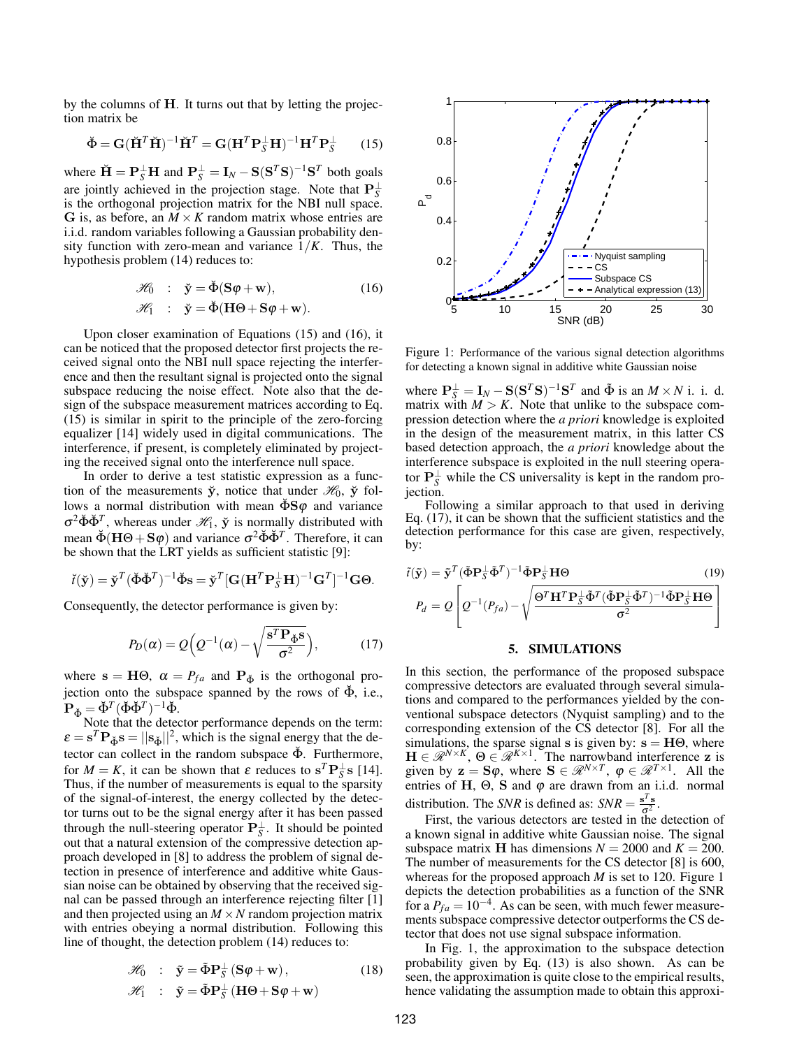by the columns of H. It turns out that by letting the projection matrix be

$$
\breve{\Phi} = \mathbf{G} (\breve{\mathbf{H}}^T \breve{\mathbf{H}})^{-1} \breve{\mathbf{H}}^T = \mathbf{G} (\mathbf{H}^T \mathbf{P}_S^\perp \mathbf{H})^{-1} \mathbf{H}^T \mathbf{P}_S^\perp \qquad (15)
$$

where  $\check{H} = P_S^{\perp}H$  and  $P_S^{\perp} = I_N - S(S^T S)^{-1}S^T$  both goals are jointly achieved in the projection stage. Note that  $\mathbf{P}_{S}^{\perp}$ is the orthogonal projection matrix for the NBI null space. G is, as before, an  $M \times K$  random matrix whose entries are i.i.d. random variables following a Gaussian probability density function with zero-mean and variance  $1/K$ . Thus, the hypothesis problem (14) reduces to:

$$
\mathcal{H}_0 : \check{\mathbf{y}} = \check{\Phi}(\mathbf{S}\varphi + \mathbf{w}), \qquad (16)
$$
  

$$
\mathcal{H}_1 : \check{\mathbf{y}} = \check{\Phi}(\mathbf{H}\Theta + \mathbf{S}\varphi + \mathbf{w}).
$$

Upon closer examination of Equations (15) and (16), it can be noticed that the proposed detector first projects the received signal onto the NBI null space rejecting the interference and then the resultant signal is projected onto the signal subspace reducing the noise effect. Note also that the design of the subspace measurement matrices according to Eq. (15) is similar in spirit to the principle of the zero-forcing equalizer [14] widely used in digital communications. The interference, if present, is completely eliminated by projecting the received signal onto the interference null space.

In order to derive a test statistic expression as a function of the measurements  $\ddot{y}$ , notice that under  $\mathcal{H}_0$ ,  $\ddot{y}$  follows a normal distribution with mean  $\check{\Phi}S\varphi$  and variance  $\sigma^2 \check{\Phi} \check{\Phi}^T$ , whereas under  $\mathcal{H}_1$ ,  $\check{y}$  is normally distributed with mean  $\check{\Phi}(\mathbf{H}\Theta + \mathbf{S}\varphi)$  and variance  $\sigma^2 \check{\Phi} \check{\Phi}^T$ . Therefore, it can be shown that the LRT yields as sufficient statistic [9]:

$$
\check{\mathbf{I}}(\check{\mathbf{y}}) = \check{\mathbf{y}}^T (\check{\Phi} \check{\Phi}^T)^{-1} \check{\Phi} \mathbf{s} = \check{\mathbf{y}}^T [\mathbf{G} (\mathbf{H}^T \mathbf{P}_S^{\perp} \mathbf{H})^{-1} \mathbf{G}^T]^{-1} \mathbf{G} \Theta.
$$

Consequently, the detector performance is given by:

$$
P_D(\alpha) = Q\Big(Q^{-1}(\alpha) - \sqrt{\frac{\mathbf{s}^T \mathbf{P}_{\check{\Phi}} \mathbf{s}}{\sigma^2}}\Big),\tag{17}
$$

where  $s = H\Theta$ ,  $\alpha = P_{fa}$  and  $P_{\Phi}$  is the orthogonal projection onto the subspace spanned by the rows of  $\check{\Phi}$ , i.e.,  $\mathbf{P}_{\check{\Phi}} = \check{\Phi}^T (\check{\Phi} \check{\Phi}^T)^{-1} \check{\Phi}.$ 

Note that the detector performance depends on the term:  $\varepsilon = s^T \mathbf{P}_{\phi} s = ||\mathbf{s}_{\phi}||^2$ , which is the signal energy that the detector can collect in the random subspace  $\Phi$ . Furthermore, for  $M = K$ , it can be shown that  $\varepsilon$  reduces to  $s^T P_S^{\perp} s$  [14]. Thus, if the number of measurements is equal to the sparsity of the signal-of-interest, the energy collected by the detector turns out to be the signal energy after it has been passed through the null-steering operator  $\mathbf{P}_{S}^{\perp}$ . It should be pointed out that a natural extension of the compressive detection approach developed in [8] to address the problem of signal detection in presence of interference and additive white Gaussian noise can be obtained by observing that the received signal can be passed through an interference rejecting filter [1] and then projected using an  $M \times N$  random projection matrix with entries obeying a normal distribution. Following this line of thought, the detection problem (14) reduces to:

$$
\mathscr{H}_0 : \ \ \tilde{\mathbf{y}} = \tilde{\Phi} \mathbf{P}_{\mathcal{S}}^{\perp} \left( \mathbf{S} \boldsymbol{\varphi} + \mathbf{w} \right), \tag{18}
$$

$$
\mathscr{H}_1 \quad : \quad \tilde{\mathbf{y}} = \tilde{\Phi} \mathbf{P}_{S}^{\perp} \left( \mathbf{H} \Theta + \mathbf{S} \boldsymbol{\varphi} + \mathbf{w} \right)
$$



Figure 1: Performance of the various signal detection algorithms for detecting a known signal in additive white Gaussian noise

where  $P_S^{\perp} = I_N - S(S^T S)^{-1} S^T$  and  $\tilde{\Phi}$  is an  $M \times N$  i. i. d. matrix with  $M > K$ . Note that unlike to the subspace compression detection where the *a priori* knowledge is exploited in the design of the measurement matrix, in this latter CS based detection approach, the *a priori* knowledge about the interference subspace is exploited in the null steering operator  $\mathbf{P}_{S}^{\perp}$  while the CS universality is kept in the random projection.

Following a similar approach to that used in deriving Eq. (17), it can be shown that the sufficient statistics and the detection performance for this case are given, respectively, by:

$$
\tilde{t}(\tilde{\mathbf{y}}) = \tilde{\mathbf{y}}^T (\tilde{\Phi} \mathbf{P}_{\tilde{\mathbf{y}}}^{\perp} \tilde{\Phi}^T)^{-1} \tilde{\Phi} \mathbf{P}_{\tilde{\mathbf{y}}}^{\perp} \mathbf{H} \Theta
$$
\n
$$
P_d = Q \left[ Q^{-1} (P_{fa}) - \sqrt{\frac{\Theta^T \mathbf{H}^T \mathbf{P}_{\tilde{\mathbf{y}}}^{\perp} \tilde{\Phi}^T (\tilde{\Phi} \mathbf{P}_{\tilde{\mathbf{y}}}^{\perp} \tilde{\Phi}^T)^{-1} \tilde{\Phi} \mathbf{P}_{\tilde{\mathbf{y}}}^{\perp} \mathbf{H} \Theta} \right]
$$
\n(19)

### 5. SIMULATIONS

In this section, the performance of the proposed subspace compressive detectors are evaluated through several simulations and compared to the performances yielded by the conventional subspace detectors (Nyquist sampling) and to the corresponding extension of the CS detector [8]. For all the simulations, the sparse signal s is given by:  $s = H\Theta$ , where  $\mathbf{H} \in \mathcal{R}^{N \times K}$ ,  $\Theta \in \mathcal{R}^{K \times 1}$ . The narrowband interference z is given by  $z = S\varphi$ , where  $S \in \mathcal{R}^{N \times T}$ ,  $\varphi \in \mathcal{R}^{T \times 1}$ . All the entries of H,  $\Theta$ , S and  $\varphi$  are drawn from an i.i.d. normal distribution. The *SNR* is defined as:  $SNR = \frac{s^T s}{\sigma^2}$ .

First, the various detectors are tested in the detection of a known signal in additive white Gaussian noise. The signal subspace matrix **H** has dimensions  $N = 2000$  and  $K = 200$ . The number of measurements for the CS detector [8] is 600, whereas for the proposed approach *M* is set to 120. Figure 1 depicts the detection probabilities as a function of the SNR for a  $P_{fa} = 10^{-4}$ . As can be seen, with much fewer measurements subspace compressive detector outperforms the CS detector that does not use signal subspace information.

In Fig. 1, the approximation to the subspace detection probability given by Eq. (13) is also shown. As can be seen, the approximation is quite close to the empirical results, hence validating the assumption made to obtain this approxi-